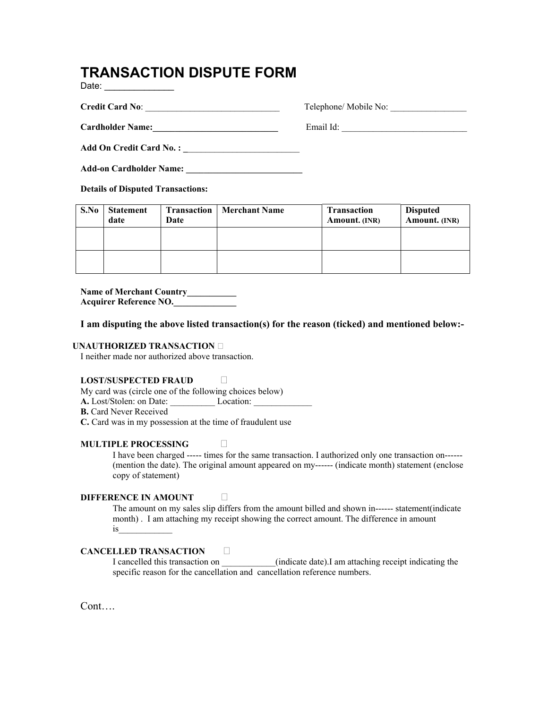## **TRANSACTION DISPUTE FORM**

Date: \_\_\_\_\_\_\_\_\_\_\_\_\_\_

**Credit Card No**: \_\_\_\_\_\_\_\_\_\_\_\_\_\_\_\_\_\_\_\_\_\_\_\_\_\_\_\_\_\_ Telephone/ Mobile No: \_\_\_\_\_\_\_\_\_\_\_\_\_\_\_\_\_

**Cardholder Name:** Email Id: **Email Id: 2008** 

**Add On Credit Card No. : \_**\_\_\_\_\_\_\_\_\_\_\_\_\_\_\_\_\_\_\_\_\_\_\_\_\_

**Add-on Cardholder Name: \_\_\_\_\_\_\_\_\_\_\_\_\_\_\_\_\_\_\_\_\_\_\_\_\_\_**

**Details of Disputed Transactions:** 

| S.No | <b>Statement</b><br>date | <b>Transaction</b><br>Date | Merchant Name | <b>Transaction</b><br>Amount. (INR) | <b>Disputed</b><br>Amount. (INR) |
|------|--------------------------|----------------------------|---------------|-------------------------------------|----------------------------------|
|      |                          |                            |               |                                     |                                  |
|      |                          |                            |               |                                     |                                  |

**Name of Merchant Country\_\_\_\_\_\_\_\_\_\_\_ Acquirer Reference NO.\_\_\_\_\_\_\_\_\_\_\_\_\_\_**

**I am disputing the above listed transaction(s) for the reason (ticked) and mentioned below:-** 

#### **UNAUTHORIZED TRANSACTION**

I neither made nor authorized above transaction.

#### **LOST/SUSPECTED FRAUD**

My card was (circle one of the following choices below)

**A.** Lost/Stolen: on Date: \_\_\_\_\_\_\_\_\_\_ Location: \_\_\_\_\_\_\_\_\_\_\_\_\_

**B.** Card Never Received

**C.** Card was in my possession at the time of fraudulent use

#### **MULTIPLE PROCESSING**

I have been charged ----- times for the same transaction. I authorized only one transaction on------ (mention the date). The original amount appeared on my------ (indicate month) statement (enclose copy of statement)

#### **DIFFERENCE IN AMOUNT**

The amount on my sales slip differs from the amount billed and shown in------ statement(indicate month). I am attaching my receipt showing the correct amount. The difference in amount is\_\_\_\_\_\_\_\_\_\_\_\_

### **CANCELLED TRANSACTION**

I cancelled this transaction on \_\_\_\_\_\_\_\_\_\_\_\_(indicate date).I am attaching receipt indicating the specific reason for the cancellation and cancellation reference numbers.

Cont….